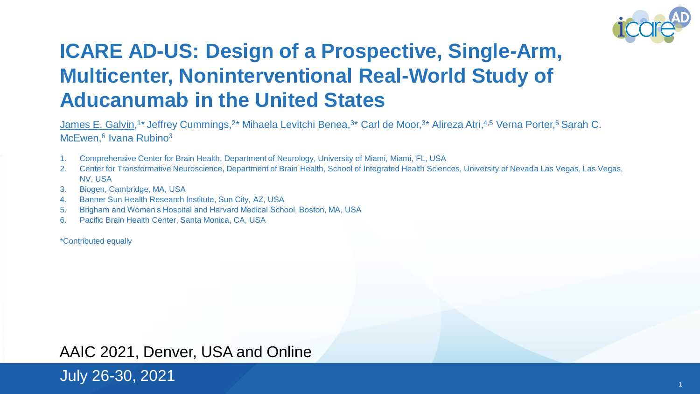

#### **ICARE AD-US: Design of a Prospective, Single-Arm, Multicenter, Noninterventional Real-World Study of Aducanumab in the United States**

James E. Galvin,<sup>1\*</sup> Jeffrey Cummings,<sup>2\*</sup> Mihaela Levitchi Benea,<sup>3\*</sup> Carl de Moor,<sup>3\*</sup> Alireza Atri,<sup>4,5</sup> Verna Porter,<sup>6</sup> Sarah C. McEwen,<sup>6</sup> Ivana Rubino<sup>3</sup>

- 1. Comprehensive Center for Brain Health, Department of Neurology, University of Miami, Miami, FL, USA
- 2. Center for Transformative Neuroscience, Department of Brain Health, School of Integrated Health Sciences, University of Nevada Las Vegas, Las Vegas, NV, USA
- 3. Biogen, Cambridge, MA, USA
- 4. Banner Sun Health Research Institute, Sun City, AZ, USA
- 5. Brigham and Women's Hospital and Harvard Medical School, Boston, MA, USA
- 6. Pacific Brain Health Center, Santa Monica, CA, USA

\*Contributed equally

#### AAIC 2021, Denver, USA and Online

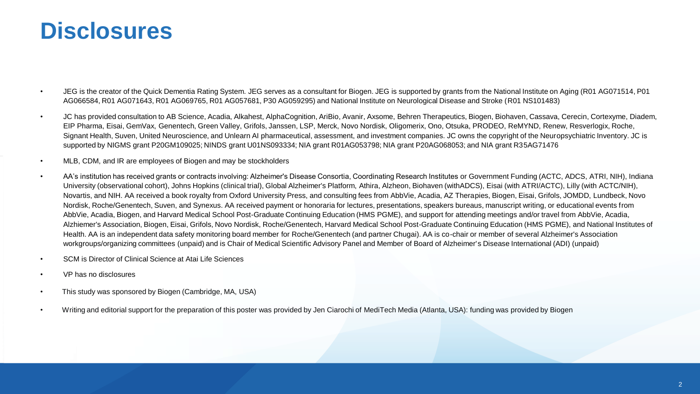## **Disclosures**

- JEG is the creator of the Quick Dementia Rating System. JEG serves as a consultant for Biogen. JEG is supported by grants from the National Institute on Aging (R01 AG071514, P01 AG066584, R01 AG071643, R01 AG069765, R01 AG057681, P30 AG059295) and National Institute on Neurological Disease and Stroke (R01 NS101483)
- JC has provided consultation to AB Science, Acadia, Alkahest, AlphaCognition, AriBio, Avanir, Axsome, Behren Therapeutics, Biogen, Biohaven, Cassava, Cerecin, Cortexyme, Diadem, EIP Pharma, Eisai, GemVax, Genentech, Green Valley, Grifols, Janssen, LSP, Merck, Novo Nordisk, Oligomerix, Ono, Otsuka, PRODEO, ReMYND, Renew, Resverlogix, Roche, Signant Health, Suven, United Neuroscience, and Unlearn AI pharmaceutical, assessment, and investment companies. JC owns the copyright of the Neuropsychiatric Inventory. JC is supported by NIGMS grant P20GM109025; NINDS grant U01NS093334; NIA grant R01AG053798; NIA grant P20AG068053; and NIA grant R35AG71476
- MLB, CDM, and IR are employees of Biogen and may be stockholders
- AA's institution has received grants or contracts involving: Alzheimer's Disease Consortia, Coordinating Research Institutes or Government Funding (ACTC, ADCS, ATRI, NIH), Indiana University (observational cohort), Johns Hopkins (clinical trial), Global Alzheimer's Platform, Athira, Alzheon, Biohaven(withADCS), Eisai (with ATRI/ACTC), Lilly (with ACTC/NIH), Novartis, and NIH. AA received a book royalty from Oxford University Press, and consulting fees from AbbVie, Acadia, AZ Therapies, Biogen, Eisai, Grifols, JOMDD, Lundbeck, Novo Nordisk, Roche/Genentech, Suven, and Synexus. AA received payment or honoraria for lectures, presentations, speakers bureaus, manuscript writing, or educational events from AbbVie, Acadia, Biogen, and Harvard Medical School Post-Graduate Continuing Education (HMS PGME), and support for attending meetings and/or travel from AbbVie, Acadia, Alzhiemer's Association, Biogen, Eisai, Grifols, Novo Nordisk, Roche/Genentech, Harvard Medical School Post-Graduate Continuing Education (HMS PGME), and National Institutes of Health. AA is an independent data safety monitoring board member for Roche/Genentech (and partner Chugai). AA is co-chair or member of several Alzheimer's Association workgroups/organizing committees (unpaid) and is Chair of Medical Scientific Advisory Panel and Member of Board of Alzheimer's Disease International (ADI) (unpaid)
- SCM is Director of Clinical Science at Atai Life Sciences
- VP has no disclosures
- This study was sponsored by Biogen (Cambridge, MA, USA)
- Writing and editorial support for the preparation of this poster was provided by Jen Ciarochi of MediTech Media (Atlanta, USA): funding was provided by Biogen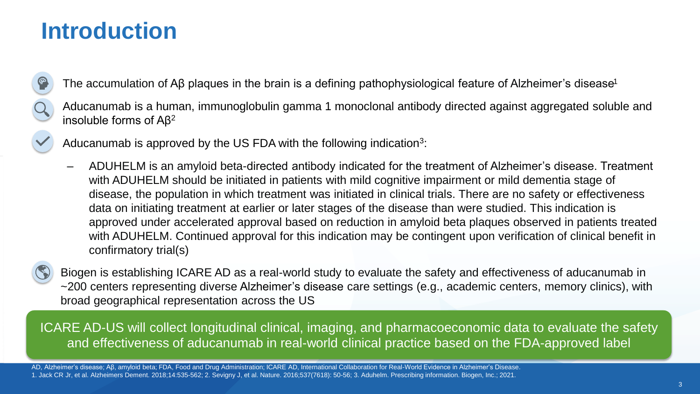## **Introduction**

- The accumulation of Aβ plaques in the brain is a defining pathophysiological feature of Alzheimer's disease<sup>1</sup>
- Aducanumab is a human, immunoglobulin gamma 1 monoclonal antibody directed against aggregated soluble and insoluble forms of Aβ<sup>2</sup>
- - Aducanumab is approved by the US FDA with the following indication<sup>3</sup>:
		- ‒ ADUHELM is an amyloid beta-directed antibody indicated for the treatment of Alzheimer's disease. Treatment with ADUHELM should be initiated in patients with mild cognitive impairment or mild dementia stage of disease, the population in which treatment was initiated in clinical trials. There are no safety or effectiveness data on initiating treatment at earlier or later stages of the disease than were studied. This indication is approved under accelerated approval based on reduction in amyloid beta plaques observed in patients treated with ADUHELM. Continued approval for this indication may be contingent upon verification of clinical benefit in confirmatory trial(s)



• Biogen is establishing ICARE AD as a real-world study to evaluate the safety and effectiveness of aducanumab in ~200 centers representing diverse Alzheimer's disease care settings (e.g., academic centers, memory clinics), with broad geographical representation across the US

ICARE AD-US will collect longitudinal clinical, imaging, and pharmacoeconomic data to evaluate the safety and effectiveness of aducanumab in real-world clinical practice based on the FDA-approved label

AD, Alzheimer's disease; Aβ, amyloid beta; FDA, Food and Drug Administration; ICARE AD, International Collaboration for Real-World Evidence in Alzheimer's Disease. 1. Jack CR Jr, et al. Alzheimers Dement. 2018;14:535-562; 2. Sevigny J, et al. Nature. 2016;537(7618): 50-56; 3. Aduhelm. Prescribing information. Biogen, Inc.; 2021.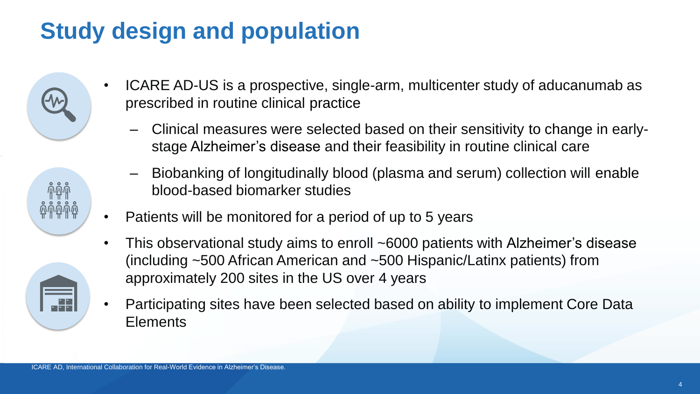# **Study design and population**





- ICARE AD-US is a prospective, single-arm, multicenter study of aducanumab as prescribed in routine clinical practice
	- ‒ Clinical measures were selected based on their sensitivity to change in earlystage Alzheimer's disease and their feasibility in routine clinical care
	- ‒ Biobanking of longitudinally blood (plasma and serum) collection will enable blood-based biomarker studies
- Patients will be monitored for a period of up to 5 years
- This observational study aims to enroll ~6000 patients with Alzheimer's disease (including ~500 African American and ~500 Hispanic/Latinx patients) from approximately 200 sites in the US over 4 years
- Participating sites have been selected based on ability to implement Core Data **Elements**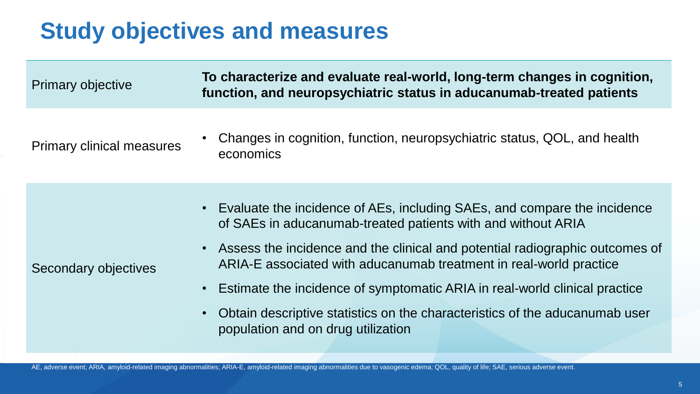# **Study objectives and measures**

| <b>Primary objective</b>         | To characterize and evaluate real-world, long-term changes in cognition,<br>function, and neuropsychiatric status in aducanumab-treated patients                                                                                                                                                                                                                                                                                                                                                      |
|----------------------------------|-------------------------------------------------------------------------------------------------------------------------------------------------------------------------------------------------------------------------------------------------------------------------------------------------------------------------------------------------------------------------------------------------------------------------------------------------------------------------------------------------------|
| <b>Primary clinical measures</b> | Changes in cognition, function, neuropsychiatric status, QOL, and health<br>economics                                                                                                                                                                                                                                                                                                                                                                                                                 |
| Secondary objectives             | • Evaluate the incidence of AEs, including SAEs, and compare the incidence<br>of SAEs in aducanumab-treated patients with and without ARIA<br>• Assess the incidence and the clinical and potential radiographic outcomes of<br>ARIA-E associated with aducanumab treatment in real-world practice<br>Estimate the incidence of symptomatic ARIA in real-world clinical practice<br>Obtain descriptive statistics on the characteristics of the aducanumab user<br>population and on drug utilization |

AE, adverse event; ARIA, amyloid-related imaging abnormalities; ARIA-E, amyloid-related imaging abnormalities due to vasogenic edema; QOL, quality of life; SAE, serious adverse event.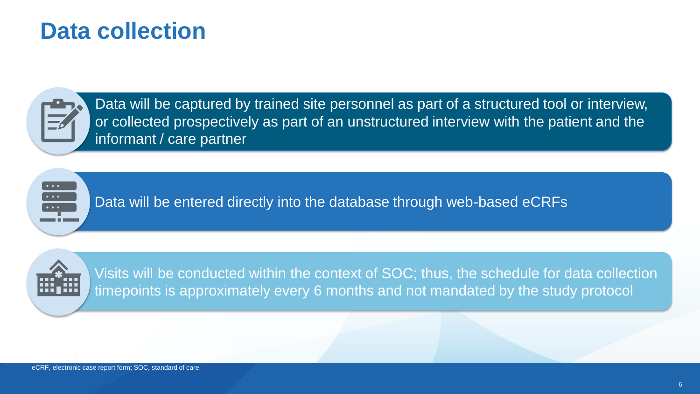### **Data collection**

Data will be captured by trained site personnel as part of a structured tool or interview, or collected prospectively as part of an unstructured interview with the patient and the informant / care partner

Data will be entered directly into the database through web-based eCRFs



Visits will be conducted within the context of SOC; thus, the schedule for data collection timepoints is approximately every 6 months and not mandated by the study protocol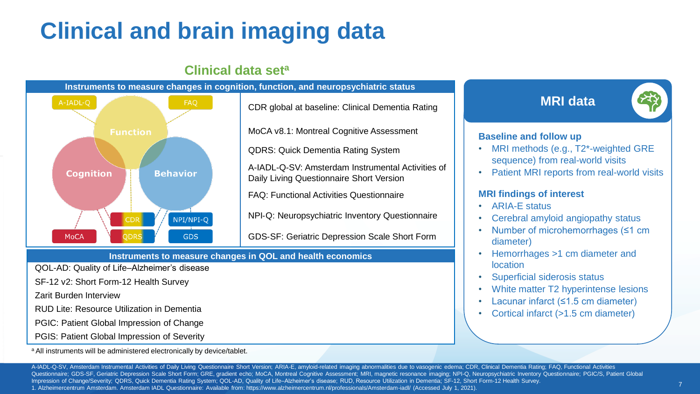# **Clinical and brain imaging data**



#### **Clinical data set<sup>a</sup>**

QOL-AD: Quality of Life–Alzheimer's disease

SF-12 v2: Short Form-12 Health Survey

Zarit Burden Interview

RUD Lite: Resource Utilization in Dementia

PGIC: Patient Global Impression of Change

PGIS: Patient Global Impression of Severity

a All instruments will be administered electronically by device/tablet.

**MRI data**



#### **Baseline and follow up**

- MRI methods (e.g., T2\*-weighted GRE sequence) from real-world visits
- Patient MRI reports from real-world visits

#### **MRI findings of interest**

- ARIA-E status
- Cerebral amyloid angiopathy status
- Number of microhemorrhages (≤1 cm diameter)
- Hemorrhages >1 cm diameter and location
- Superficial siderosis status
- White matter T2 hyperintense lesions
- Lacunar infarct (≤1.5 cm diameter)
- Cortical infarct (>1.5 cm diameter)

A-IADL-Q-SV, Amsterdam Instrumental Activities of Daily Living Questionnaire Short Version; ARIA-E, amyloid-related imaging abnormalities due to vasogenic edema; CDR, Clinical Dementia Rating; FAQ, Functional Activities Questionnaire; GDS-SF, Geriatric Depression Scale Short Form; GRE, gradient echo; MoCA, Montreal Cognitive Assessment; MRI, magnetic resonance imaging; NPI-Q, Neuropsychiatric Inventory Questionnaire; PGIC/S, Patient Globa Impression of Change/Severity; QDRS, Quick Dementia Rating System; QOL-AD, Quality of Life–Alzheimer's disease; RUD, Resource Utilization in Dementia; SF-12, Short Form-12 Health Survey. 1. Alzheimercentrum Amsterdam. Amsterdam IADL Questionnaire: Available from: https://www.alzheimercentrum.nl/professionals/Amsterdam-iadl/ (Accessed July 1, 2021).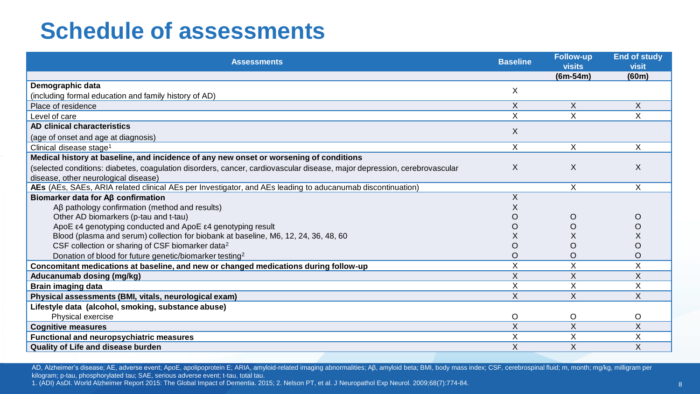## **Schedule of assessments**

| <b>Assessments</b>                                                                                                       |   | <b>Follow-up</b><br><b>visits</b> | <b>End of study</b><br><b>visit</b> |
|--------------------------------------------------------------------------------------------------------------------------|---|-----------------------------------|-------------------------------------|
|                                                                                                                          |   | $(6m-54m)$                        | (60m)                               |
| Demographic data                                                                                                         |   |                                   |                                     |
| (including formal education and family history of AD)                                                                    |   |                                   |                                     |
| Place of residence                                                                                                       |   | X                                 | X                                   |
| Level of care                                                                                                            |   | X                                 | X                                   |
| AD clinical characteristics                                                                                              |   |                                   |                                     |
| (age of onset and age at diagnosis)                                                                                      |   |                                   |                                     |
| Clinical disease stage <sup>1</sup>                                                                                      |   | X                                 | X                                   |
| Medical history at baseline, and incidence of any new onset or worsening of conditions                                   |   |                                   |                                     |
| (selected conditions: diabetes, coagulation disorders, cancer, cardiovascular disease, major depression, cerebrovascular |   | X                                 | X                                   |
| disease, other neurological disease)                                                                                     |   |                                   |                                     |
| AEs (AEs, SAEs, ARIA related clinical AEs per Investigator, and AEs leading to aducanumab discontinuation)               |   | X                                 | X                                   |
| Biomarker data for Aß confirmation                                                                                       |   |                                   |                                     |
| $AB$ pathology confirmation (method and results)                                                                         |   |                                   |                                     |
| Other AD biomarkers (p-tau and t-tau)                                                                                    |   | $\circ$                           | O                                   |
| ApoE ε4 genotyping conducted and ApoE ε4 genotyping result                                                               |   | O                                 | O                                   |
| Blood (plasma and serum) collection for biobank at baseline, M6, 12, 24, 36, 48, 60                                      |   | Х                                 | X                                   |
| CSF collection or sharing of CSF biomarker data <sup>2</sup>                                                             |   | O                                 | O                                   |
| Donation of blood for future genetic/biomarker testing <sup>2</sup>                                                      |   | O                                 | O                                   |
| Concomitant medications at baseline, and new or changed medications during follow-up                                     |   | X                                 | $\times$                            |
| Aducanumab dosing (mg/kg)                                                                                                | X | X                                 | X                                   |
| <b>Brain imaging data</b>                                                                                                |   | X                                 | X                                   |
| Physical assessments (BMI, vitals, neurological exam)                                                                    |   | X                                 | X                                   |
| Lifestyle data (alcohol, smoking, substance abuse)                                                                       |   |                                   |                                     |
| Physical exercise                                                                                                        |   | $\circ$                           | O                                   |
| <b>Cognitive measures</b>                                                                                                |   | X                                 | X                                   |
| <b>Functional and neuropsychiatric measures</b>                                                                          |   | X                                 | X                                   |
| <b>Quality of Life and disease burden</b>                                                                                |   | X                                 | X                                   |

AD, Alzheimer's disease; AE, adverse event; ApoE, apolipoprotein E; ARIA, amyloid-related imaging abnormalities; Aβ, amyloid beta; BMI, body mass index; CSF, cerebrospinal fluid; m, month; mg/kg, milligram per kilogram; p-tau, phosphorylated tau; SAE, serious adverse event; t-tau, total tau.

1. (ADI) AsDI. World Alzheimer Report 2015: The Global Impact of Dementia. 2015; 2. Nelson PT, et al. J Neuropathol Exp Neurol. 2009;68(7):774-84.